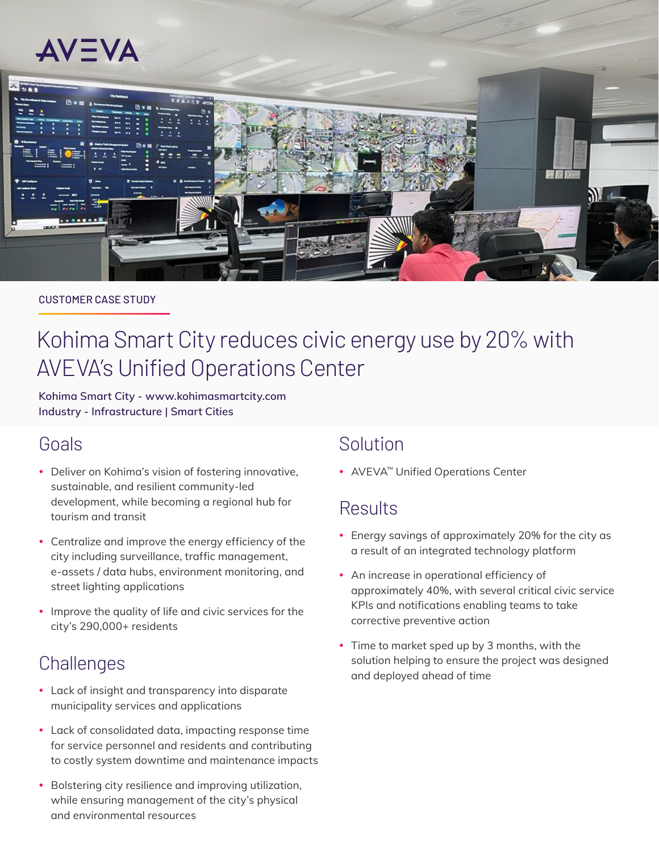

#### CUSTOMER CASE STUDY

# Kohima Smart City reduces civic energy use by 20% with AVEVA's Unified Operations Center

**Kohima Smart City - [www.kohimasmartcity.com](https://www.kohimasmartcity.com/) Industry - Infrastructure | Smart Cities**

### Goals

- Deliver on Kohima's vision of fostering innovative, sustainable, and resilient community-led development, while becoming a regional hub for tourism and transit
- Centralize and improve the energy efficiency of the city including surveillance, traffic management, e-assets / data hubs, environment monitoring, and street lighting applications
- Improve the quality of life and civic services for the city's 290,000+ residents

### **Challenges**

- Lack of insight and transparency into disparate municipality services and applications
- Lack of consolidated data, impacting response time for service personnel and residents and contributing to costly system downtime and maintenance impacts
- Bolstering city resilience and improving utilization, while ensuring management of the city's physical and environmental resources

# Solution

• AVEVA™ Unified Operations Center

### Results

- Energy savings of approximately 20% for the city as a result of an integrated technology platform
- An increase in operational efficiency of approximately 40%, with several critical civic service KPIs and notifications enabling teams to take corrective preventive action
- Time to market sped up by 3 months, with the solution helping to ensure the project was designed and deployed ahead of time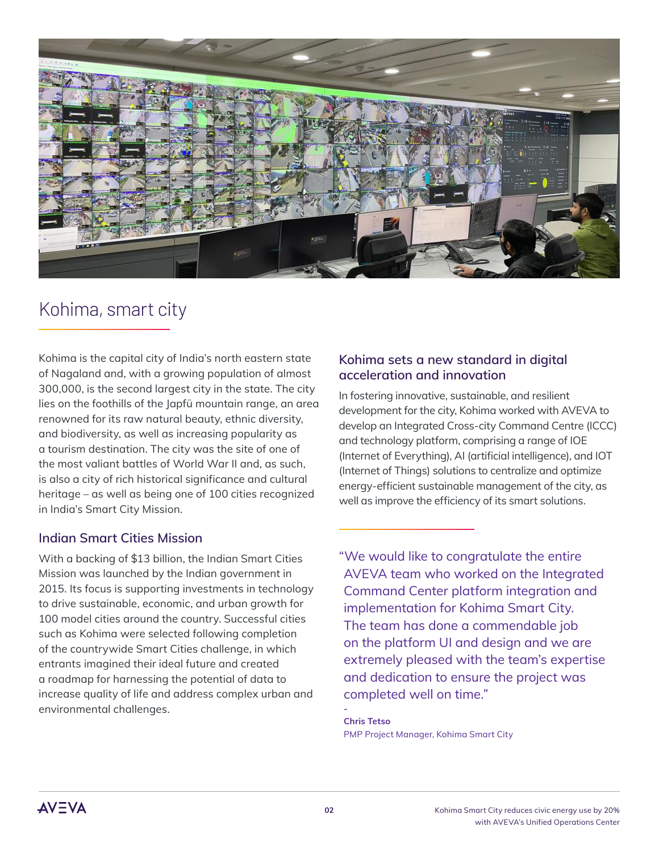

# Kohima, smart city

Kohima is the capital city of India's north eastern state of Nagaland and, with a growing population of almost 300,000, is the second largest city in the state. The city lies on the foothills of the Japfü mountain range, an area renowned for its raw natural beauty, ethnic diversity, and biodiversity, as well as increasing popularity as a tourism destination. The city was the site of one of the most valiant battles of World War II and, as such, is also a city of rich historical significance and cultural heritage – as well as being one of 100 cities recognized in India's Smart City Mission.

### **Indian Smart Cities Mission**

With a backing of \$13 billion, the Indian Smart Cities Mission was launched by the Indian government in 2015. Its focus is supporting investments in technology to drive sustainable, economic, and urban growth for 100 model cities around the country. Successful cities such as Kohima were selected following completion of the countrywide Smart Cities challenge, in which entrants imagined their ideal future and created a roadmap for harnessing the potential of data to increase quality of life and address complex urban and environmental challenges.

### **Kohima sets a new standard in digital acceleration and innovation**

In fostering innovative, sustainable, and resilient development for the city, Kohima worked with AVEVA to develop an Integrated Cross-city Command Centre (ICCC) and technology platform, comprising a range of IOE (Internet of Everything), AI (artificial intelligence), and IOT (Internet of Things) solutions to centralize and optimize energy-efficient sustainable management of the city, as well as improve the efficiency of its smart solutions.

"We would like to congratulate the entire AVEVA team who worked on the Integrated Command Center platform integration and implementation for Kohima Smart City. The team has done a commendable job on the platform UI and design and we are extremely pleased with the team's expertise and dedication to ensure the project was completed well on time."

**- Chris Tetso** PMP Project Manager, Kohima Smart City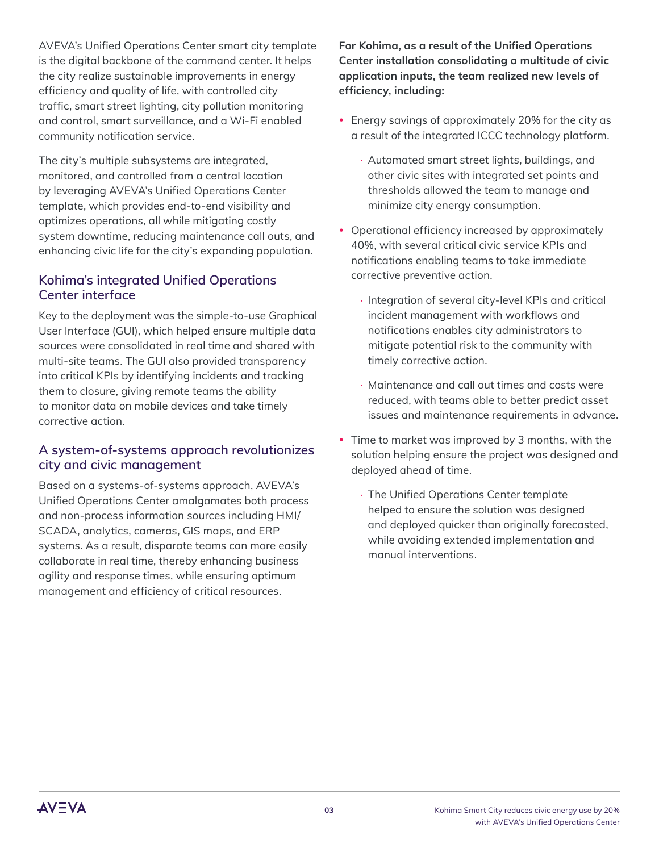AVEVA's Unified Operations Center smart city template is the digital backbone of the command center. It helps the city realize sustainable improvements in energy efficiency and quality of life, with controlled city traffic, smart street lighting, city pollution monitoring and control, smart surveillance, and a Wi-Fi enabled community notification service.

The city's multiple subsystems are integrated, monitored, and controlled from a central location by leveraging AVEVA's Unified Operations Center template, which provides end-to-end visibility and optimizes operations, all while mitigating costly system downtime, reducing maintenance call outs, and enhancing civic life for the city's expanding population.

### **Kohima's integrated Unified Operations Center interface**

Key to the deployment was the simple-to-use Graphical User Interface (GUI), which helped ensure multiple data sources were consolidated in real time and shared with multi-site teams. The GUI also provided transparency into critical KPIs by identifying incidents and tracking them to closure, giving remote teams the ability to monitor data on mobile devices and take timely corrective action.

### **A system-of-systems approach revolutionizes city and civic management**

Based on a systems-of-systems approach, AVEVA's Unified Operations Center amalgamates both process and non-process information sources including HMI/ SCADA, analytics, cameras, GIS maps, and ERP systems. As a result, disparate teams can more easily collaborate in real time, thereby enhancing business agility and response times, while ensuring optimum management and efficiency of critical resources.

**For Kohima, as a result of the Unified Operations Center installation consolidating a multitude of civic application inputs, the team realized new levels of efficiency, including:**

- Energy savings of approximately 20% for the city as a result of the integrated ICCC technology platform.
	- ∙ Automated smart street lights, buildings, and other civic sites with integrated set points and thresholds allowed the team to manage and minimize city energy consumption.
- Operational efficiency increased by approximately 40%, with several critical civic service KPIs and notifications enabling teams to take immediate corrective preventive action.
	- ∙ Integration of several city-level KPIs and critical incident management with workflows and notifications enables city administrators to mitigate potential risk to the community with timely corrective action.
	- ∙ Maintenance and call out times and costs were reduced, with teams able to better predict asset issues and maintenance requirements in advance.
- Time to market was improved by 3 months, with the solution helping ensure the project was designed and deployed ahead of time.
	- ∙ The Unified Operations Center template helped to ensure the solution was designed and deployed quicker than originally forecasted, while avoiding extended implementation and manual interventions.